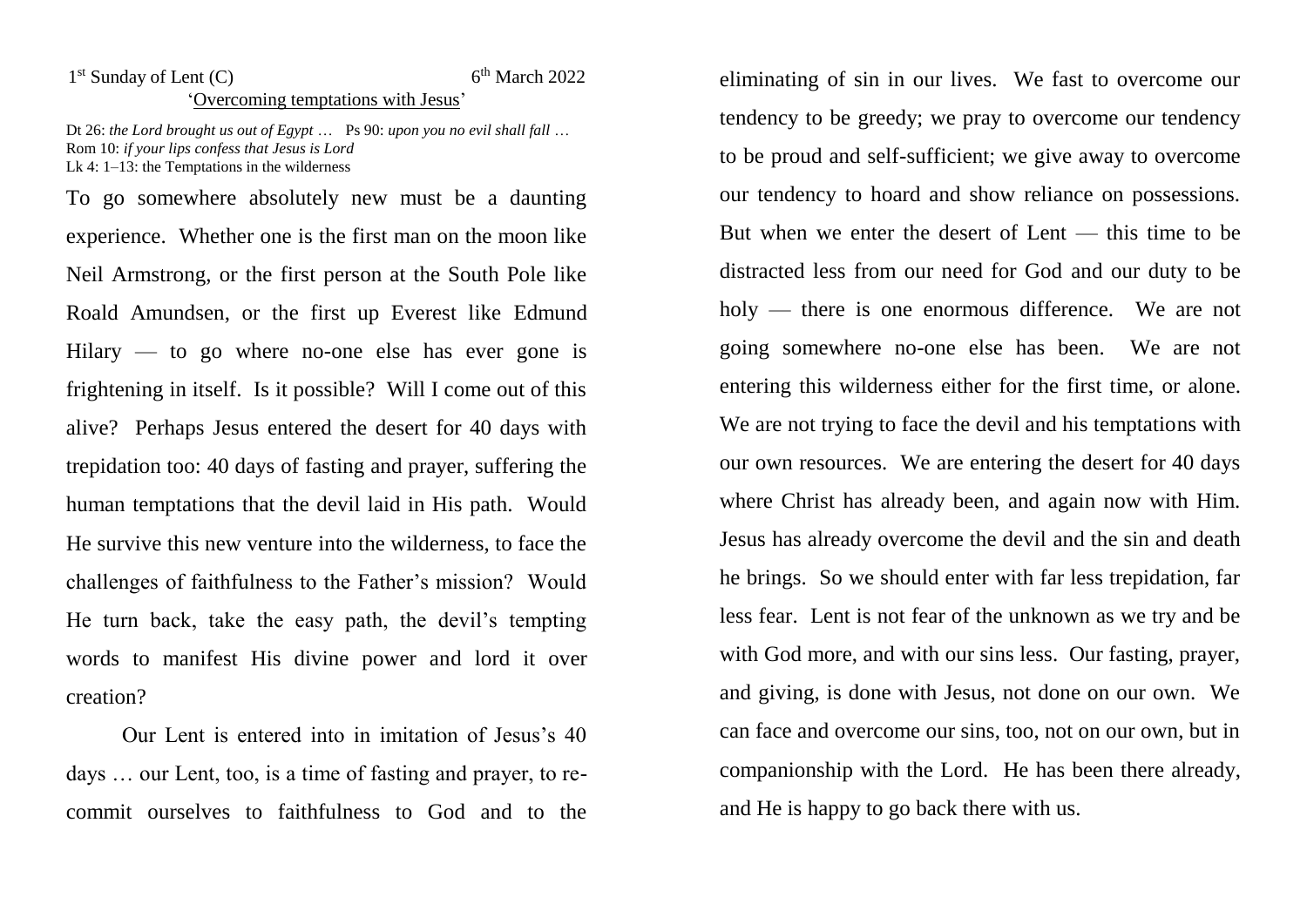## 1<sup>st</sup> Sunday of Lent (C) 6  $6<sup>th</sup> March 2022$ 'Overcoming temptations with Jesus'

Dt 26: *the Lord brought us out of Egypt* … Ps 90: *upon you no evil shall fall* … Rom 10: *if your lips confess that Jesus is Lord* Lk 4: 1–13: the Temptations in the wilderness

To go somewhere absolutely new must be a daunting experience. Whether one is the first man on the moon like Neil Armstrong, or the first person at the South Pole like Roald Amundsen, or the first up Everest like Edmund Hilary  $-$  to go where no-one else has ever gone is frightening in itself. Is it possible? Will I come out of this alive? Perhaps Jesus entered the desert for 40 days with trepidation too: 40 days of fasting and prayer, suffering the human temptations that the devil laid in His path. Would He survive this new venture into the wilderness, to face the challenges of faithfulness to the Father's mission? Would He turn back, take the easy path, the devil's tempting words to manifest His divine power and lord it over creation?

Our Lent is entered into in imitation of Jesus's 40 days … our Lent, too, is a time of fasting and prayer, to recommit ourselves to faithfulness to God and to the eliminating of sin in our lives. We fast to overcome our tendency to be greedy; we pray to overcome our tendency to be proud and self-sufficient; we give away to overcome our tendency to hoard and show reliance on possessions. But when we enter the desert of Lent — this time to be distracted less from our need for God and our duty to be holy — there is one enormous difference. We are not going somewhere no-one else has been. We are not entering this wilderness either for the first time, or alone. We are not trying to face the devil and his temptations with our own resources. We are entering the desert for 40 days where Christ has already been, and again now with Him. Jesus has already overcome the devil and the sin and death he brings. So we should enter with far less trepidation, far less fear. Lent is not fear of the unknown as we try and be with God more, and with our sins less. Our fasting, prayer, and giving, is done with Jesus, not done on our own. We can face and overcome our sins, too, not on our own, but in companionship with the Lord. He has been there already, and He is happy to go back there with us.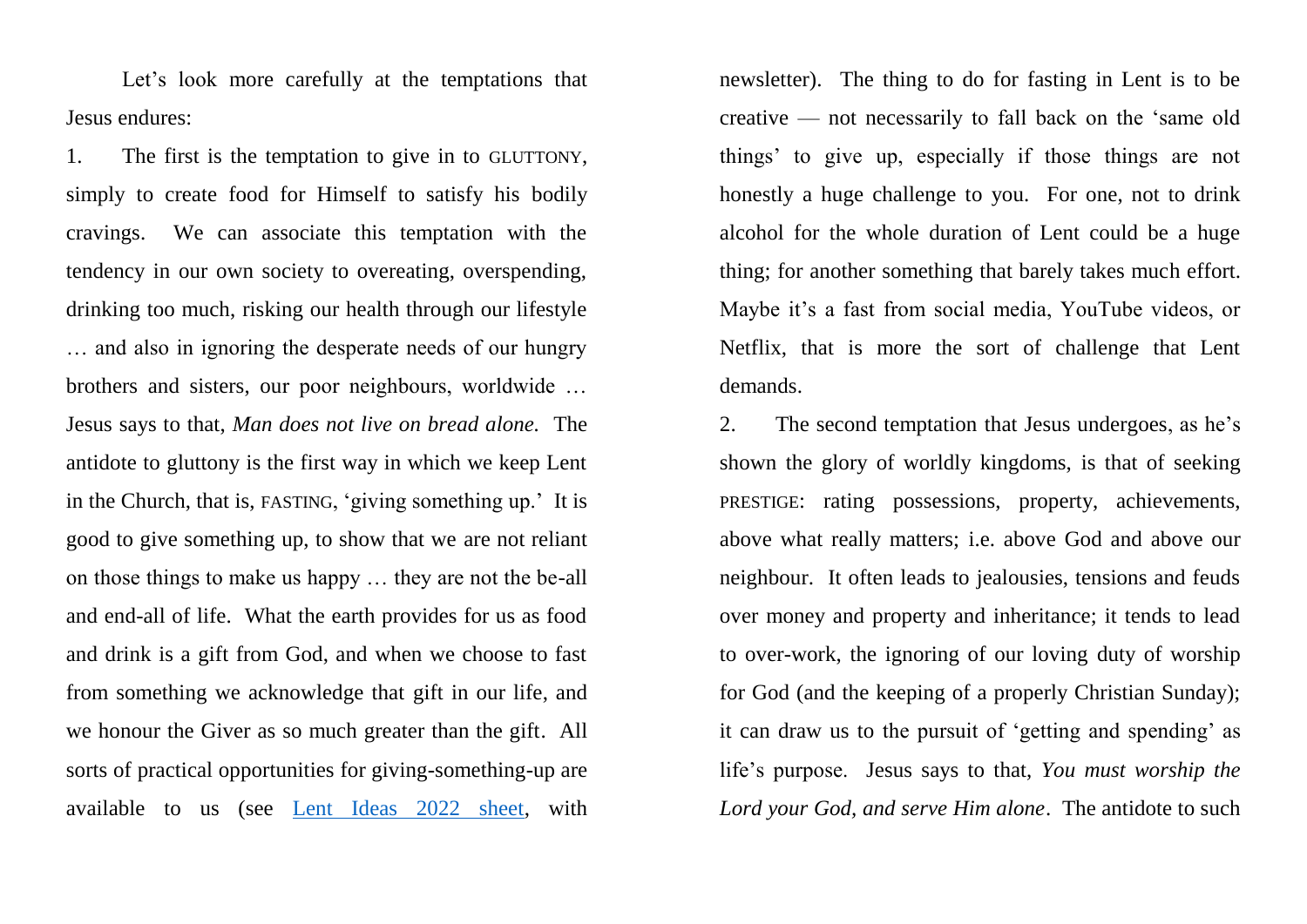Let's look more carefully at the temptations that Jesus endures:

1. The first is the temptation to give in to GLUTTONY, simply to create food for Himself to satisfy his bodily cravings. We can associate this temptation with the tendency in our own society to overeating, overspending, drinking too much, risking our health through our lifestyle … and also in ignoring the desperate needs of our hungry brothers and sisters, our poor neighbours, worldwide … Jesus says to that, *Man does not live on bread alone.* The antidote to gluttony is the first way in which we keep Lent in the Church, that is, FASTING, 'giving something up.' It is good to give something up, to show that we are not reliant on those things to make us happy … they are not the be-all and end-all of life. What the earth provides for us as food and drink is a gift from God, and when we choose to fast from something we acknowledge that gift in our life, and we honour the Giver as so much greater than the gift. All sorts of practical opportunities for giving-something-up are available to us (see [Lent Ideas 2022 sheet,](https://www.universitycatholic.net/wp-content/uploads/2022/03/ideas-for-lent-2022.pdf) with

newsletter). The thing to do for fasting in Lent is to be creative — not necessarily to fall back on the 'same old things' to give up, especially if those things are not honestly a huge challenge to you. For one, not to drink alcohol for the whole duration of Lent could be a huge thing; for another something that barely takes much effort. Maybe it's a fast from social media, YouTube videos, or Netflix, that is more the sort of challenge that Lent demands.

2. The second temptation that Jesus undergoes, as he's shown the glory of worldly kingdoms, is that of seeking PRESTIGE: rating possessions, property, achievements, above what really matters; i.e. above God and above our neighbour. It often leads to jealousies, tensions and feuds over money and property and inheritance; it tends to lead to over-work, the ignoring of our loving duty of worship for God (and the keeping of a properly Christian Sunday); it can draw us to the pursuit of 'getting and spending' as life's purpose. Jesus says to that, *You must worship the Lord your God, and serve Him alone*. The antidote to such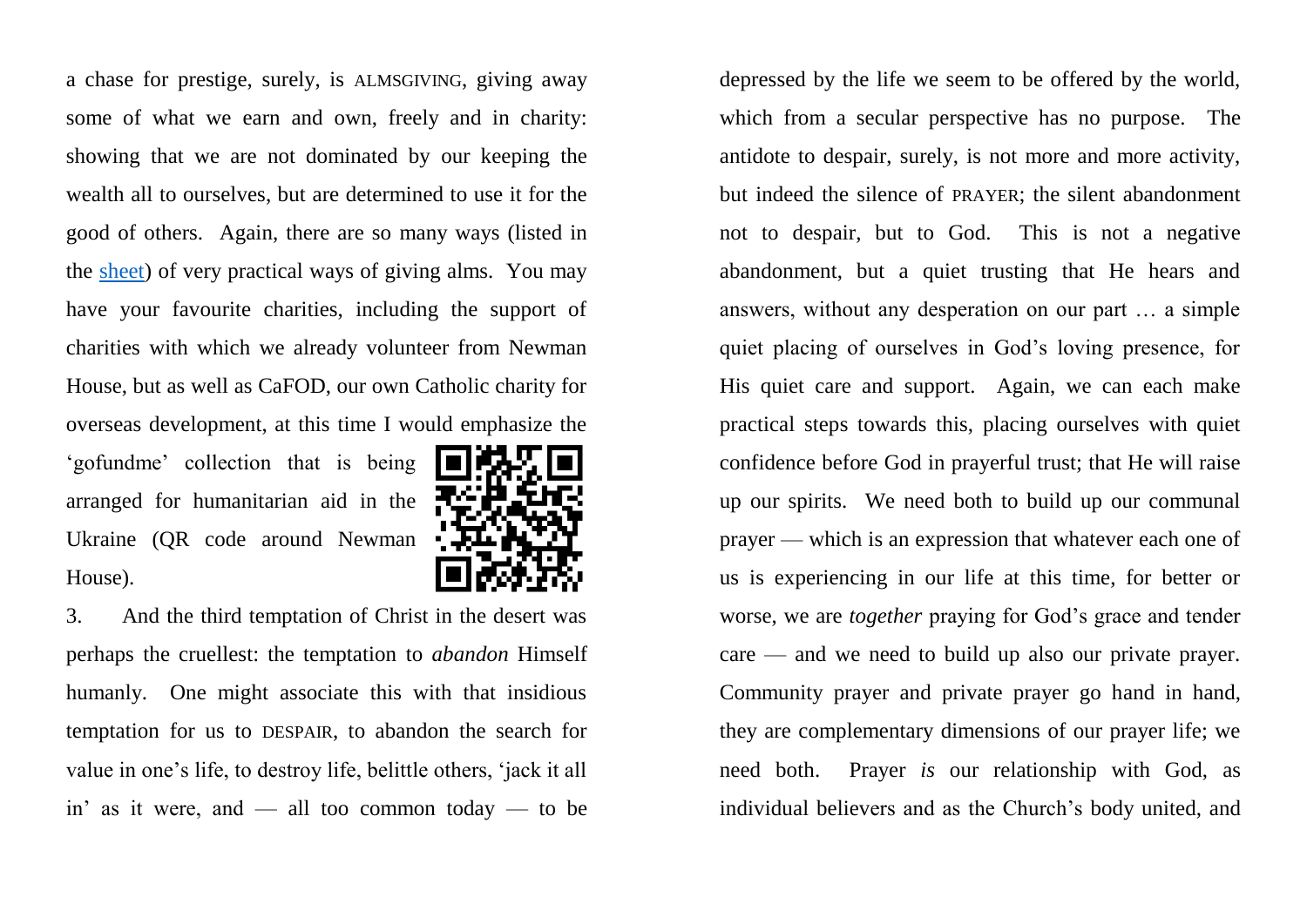a chase for prestige, surely, is ALMSGIVING, giving away some of what we earn and own, freely and in charity: showing that we are not dominated by our keeping the wealth all to ourselves, but are determined to use it for the good of others. Again, there are so many ways (listed in the [sheet\)](https://www.universitycatholic.net/wp-content/uploads/2022/03/ideas-for-lent-2022.pdf) of very practical ways of giving alms. You may have your favourite charities, including the support of charities with which we already volunteer from Newman House, but as well as CaFOD, our own Catholic charity for overseas development, at this time I would emphasize the 'gofundme' collection that is being 再次记录 arranged for humanitarian aid in the Ukraine (QR code around Newman House).



3. And the third temptation of Christ in the desert was perhaps the cruellest: the temptation to *abandon* Himself humanly. One might associate this with that insidious temptation for us to DESPAIR, to abandon the search for value in one's life, to destroy life, belittle others, 'jack it all in' as it were, and — all too common today — to be

depressed by the life we seem to be offered by the world, which from a secular perspective has no purpose. The antidote to despair, surely, is not more and more activity, but indeed the silence of PRAYER; the silent abandonment not to despair, but to God. This is not a negative abandonment, but a quiet trusting that He hears and answers, without any desperation on our part … a simple quiet placing of ourselves in God's loving presence, for His quiet care and support. Again, we can each make practical steps towards this, placing ourselves with quiet confidence before God in prayerful trust; that He will raise up our spirits. We need both to build up our communal prayer — which is an expression that whatever each one of us is experiencing in our life at this time, for better or worse, we are *together* praying for God's grace and tender care — and we need to build up also our private prayer. Community prayer and private prayer go hand in hand, they are complementary dimensions of our prayer life; we need both. Prayer *is* our relationship with God, as individual believers and as the Church's body united, and